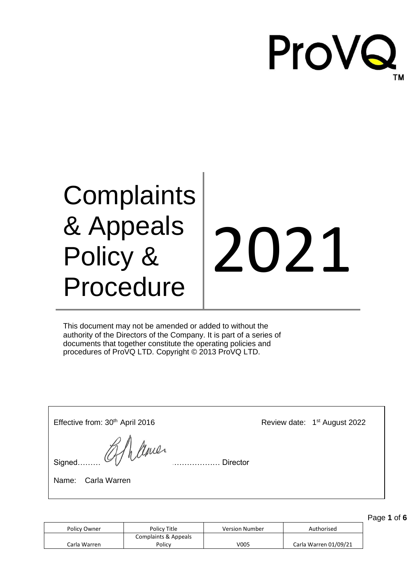

## **Complaints** & Appeals Policy & Procedure

# 2021

This document may not be amended or added to without the authority of the Directors of the Company. It is part of a series of documents that together constitute the operating policies and procedures of ProVQ LTD. Copyright © 2013 ProVQ LTD.

| Effective from: 30 <sup>th</sup> April 2016                | Review date: 1 <sup>st</sup> August 2022 |
|------------------------------------------------------------|------------------------------------------|
| signed Of have<br><b>Director</b><br>Carla Warren<br>Name: |                                          |

Policy Owner **Policy Title Policy Title** Version Number **Authorised** Carla Warren Complaints & Appeals Policy | V005 | Carla Warren 01/09/21

Page **1** of **6**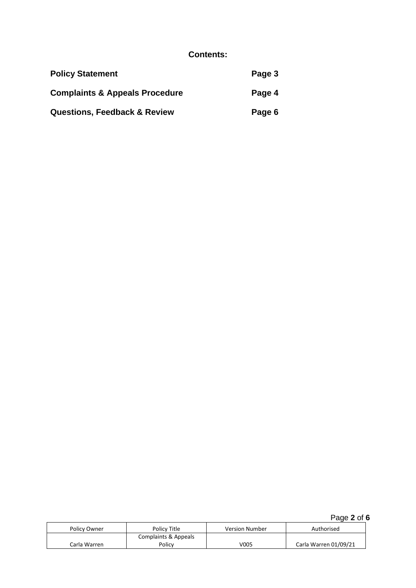#### **Contents:**

| <b>Policy Statement</b>                   | Page 3 |
|-------------------------------------------|--------|
| <b>Complaints &amp; Appeals Procedure</b> | Page 4 |
| <b>Questions, Feedback &amp; Review</b>   | Page 6 |

Page **2** of **6**

| Policy Owner | Policy Title         | <b>Version Number</b> | Authorised            |
|--------------|----------------------|-----------------------|-----------------------|
|              | Complaints & Appeals |                       |                       |
| Carla Warren | Policv               | V005                  | Carla Warren 01/09/21 |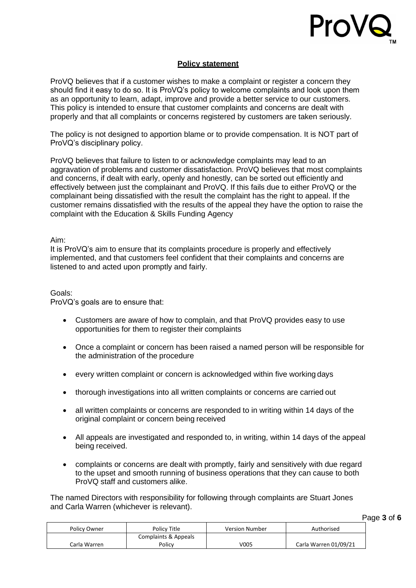

#### **Policy statement**

ProVQ believes that if a customer wishes to make a complaint or register a concern they should find it easy to do so. It is ProVQ's policy to welcome complaints and look upon them as an opportunity to learn, adapt, improve and provide a better service to our customers. This policy is intended to ensure that customer complaints and concerns are dealt with properly and that all complaints or concerns registered by customers are taken seriously.

The policy is not designed to apportion blame or to provide compensation. It is NOT part of ProVQ's disciplinary policy.

ProVQ believes that failure to listen to or acknowledge complaints may lead to an aggravation of problems and customer dissatisfaction. ProVQ believes that most complaints and concerns, if dealt with early, openly and honestly, can be sorted out efficiently and effectively between just the complainant and ProVQ. If this fails due to either ProVQ or the complainant being dissatisfied with the result the complaint has the right to appeal. If the customer remains dissatisfied with the results of the appeal they have the option to raise the complaint with the Education & Skills Funding Agency

Aim:

It is ProVQ's aim to ensure that its complaints procedure is properly and effectively implemented, and that customers feel confident that their complaints and concerns are listened to and acted upon promptly and fairly.

Goals:

ProVQ's goals are to ensure that:

- Customers are aware of how to complain, and that ProVQ provides easy to use opportunities for them to register their complaints
- Once a complaint or concern has been raised a named person will be responsible for the administration of the procedure
- every written complaint or concern is acknowledged within five working days
- thorough investigations into all written complaints or concerns are carried out
- all written complaints or concerns are responded to in writing within 14 days of the original complaint or concern being received
- All appeals are investigated and responded to, in writing, within 14 days of the appeal being received.
- complaints or concerns are dealt with promptly, fairly and sensitively with due regard to the upset and smooth running of business operations that they can cause to both ProVQ staff and customers alike.

The named Directors with responsibility for following through complaints are Stuart Jones and Carla Warren (whichever is relevant).

Page **3** of **6**

| Policy Owner | Policy Title         | <b>Version Number</b> | Authorised            |
|--------------|----------------------|-----------------------|-----------------------|
|              | Complaints & Appeals |                       |                       |
| Carla Warren | Policy               | V005                  | Carla Warren 01/09/21 |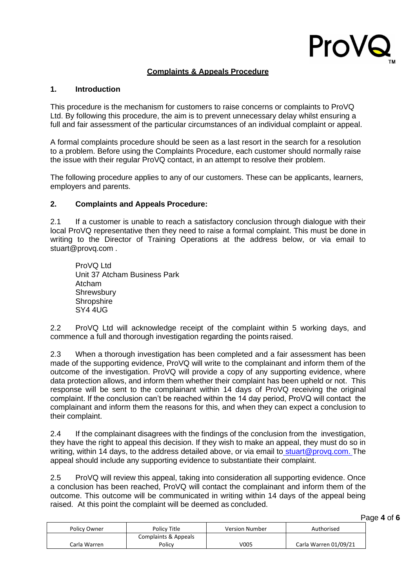

#### **Complaints & Appeals Procedure**

#### **1. Introduction**

This procedure is the mechanism for customers to raise concerns or complaints to ProVQ Ltd. By following this procedure, the aim is to prevent unnecessary delay whilst ensuring a full and fair assessment of the particular circumstances of an individual complaint or appeal.

A formal complaints procedure should be seen as a last resort in the search for a resolution to a problem. Before using the Complaints Procedure, each customer should normally raise the issue with their regular ProVQ contact, in an attempt to resolve their problem.

The following procedure applies to any of our customers. These can be applicants, learners, employers and parents.

#### **2. Complaints and Appeals Procedure:**

2.1 If a customer is unable to reach a satisfactory conclusion through dialogue with their local ProVQ representative then they need to raise a formal complaint. This must be done in writing to the Director of Training Operations at the address below, or via email to [stuart@provq.com](mailto:stuart@provq.com) .

ProVQ Ltd Unit 37 Atcham Business Park Atcham **Shrewsbury Shropshire** SY4 4UG

2.2 ProVQ Ltd will acknowledge receipt of the complaint within 5 working days, and commence a full and thorough investigation regarding the points raised.

2.3 When a thorough investigation has been completed and a fair assessment has been made of the supporting evidence, ProVQ will write to the complainant and inform them of the outcome of the investigation. ProVQ will provide a copy of any supporting evidence, where data protection allows, and inform them whether their complaint has been upheld or not. This response will be sent to the complainant within 14 days of ProVQ receiving the original complaint. If the conclusion can't be reached within the 14 day period, ProVQ will contact the complainant and inform them the reasons for this, and when they can expect a conclusion to their complaint.

2.4 If the complainant disagrees with the findings of the conclusion from the investigation, they have the right to appeal this decision. If they wish to make an appeal, they must do so in writing, within 14 days, to the address detailed above, or via email to [stuart@provq.com. T](mailto:%20stuart@provq.com.)he appeal should include any supporting evidence to substantiate their complaint.

2.5 ProVQ will review this appeal, taking into consideration all supporting evidence. Once a conclusion has been reached, ProVQ will contact the complainant and inform them of the outcome. This outcome will be communicated in writing within 14 days of the appeal being raised. At this point the complaint will be deemed as concluded.

Page **4** of **6**

| Policy Owner | Policy Title         | <b>Version Number</b> | Authorised            |
|--------------|----------------------|-----------------------|-----------------------|
|              | Complaints & Appeals |                       |                       |
| Carla Warren | Policy               | V005                  | Carla Warren 01/09/21 |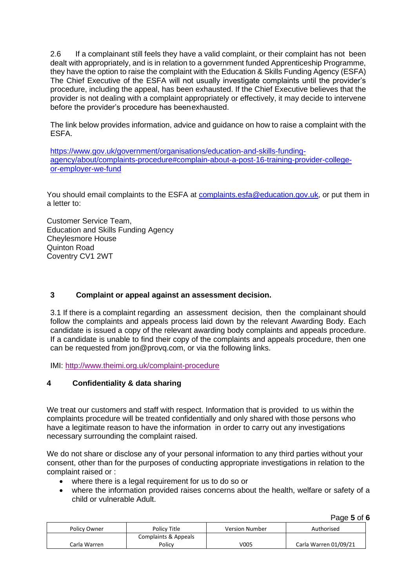2.6 If a complainant still feels they have a valid complaint, or their complaint has not been dealt with appropriately, and is in relation to a government funded Apprenticeship Programme, they have the option to raise the complaint with the Education & Skills Funding Agency (ESFA) The Chief Executive of the ESFA will not usually investigate complaints until the provider's procedure, including the appeal, has been exhausted. If the Chief Executive believes that the provider is not dealing with a complaint appropriately or effectively, it may decide to intervene before the provider's procedure has beenexhausted.

The link below provides information, advice and guidance on how to raise a complaint with the ESFA.

[https://www.gov.uk/government/organisations/education-and-skills-funding](https://www.gov.uk/government/organisations/education-and-skills-funding-agency/about/complaints-procedure#complain-about-a-post-16-training-provider-college-or-employer-we-fund)[agency/about/complaints-procedure#complain-about-a-post-16-training-provider-college](https://www.gov.uk/government/organisations/education-and-skills-funding-agency/about/complaints-procedure#complain-about-a-post-16-training-provider-college-or-employer-we-fund)[or-employer-we-fund](https://www.gov.uk/government/organisations/education-and-skills-funding-agency/about/complaints-procedure#complain-about-a-post-16-training-provider-college-or-employer-we-fund)

You should email complaints to the ESFA at [complaints.esfa@education.gov.uk,](mailto:complaints.esfa@education.gov.uk) or put them in a letter to:

Customer Service Team, Education and Skills Funding Agency Cheylesmore House Quinton Road Coventry CV1 2WT

#### **3 Complaint or appeal against an assessment decision.**

3.1 If there is a complaint regarding an assessment decision, then the complainant should follow the complaints and appeals process laid down by the relevant Awarding Body. Each candidate is issued a copy of the relevant awarding body complaints and appeals procedure. If a candidate is unable to find their copy of the complaints and appeals procedure, then one can be requested from [jon@provq.com, o](mailto:jon@provq.com)r via the following links.

IMI:<http://www.theimi.org.uk/complaint-procedure>

#### **4 Confidentiality & data sharing**

We treat our customers and staff with respect. Information that is provided to us within the complaints procedure will be treated confidentially and only shared with those persons who have a legitimate reason to have the information in order to carry out any investigations necessary surrounding the complaint raised.

We do not share or disclose any of your personal information to any third parties without your consent, other than for the purposes of conducting appropriate investigations in relation to the complaint raised or :

- where there is a legal requirement for us to do so or
- where the information provided raises concerns about the health, welfare or safety of a child or vulnerable Adult.

Page **5** of **6**

| Policy Owner | Policy Title         | <b>Version Number</b> | Authorised            |
|--------------|----------------------|-----------------------|-----------------------|
|              | Complaints & Appeals |                       |                       |
| Carla Warren | Policy               | V005                  | Carla Warren 01/09/21 |